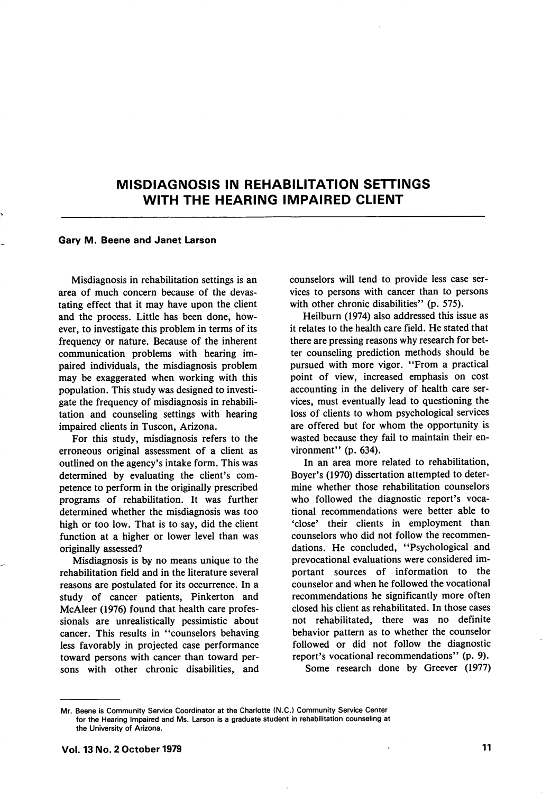# MISDIAGNOSIS IN REHABILITATION SETTINGS WITH THE HEARING IMPAIRED CLIENT

#### Gary M. Beene and Janet Larson

Misdiagnosis in rehabilitation settings is an area of much concern because of the devas tating effect that it may have upon the client and the process. Little has been done, how ever, to investigate this problem in terms of its frequency or nature. Because of the inherent communication problems with hearing im paired individuals, the misdiagnosis problem may be exaggerated when working with this population. This study was designed to investi gate the frequency of misdiagnosis in rehabili tation and counseling settings with hearing impaired clients in Tuscon, Arizona.

For this study, misdiagnosis refers to the erroneous original assessment of a client as outlined on the agency's intake form. This was determined by evaluating the client's com petence to perform in the originally prescribed programs of rehabilitation. It was further determined whether the misdiagnosis was too high or too low. That is to say, did the client function at a higher or lower level than was originally assessed?

Misdiagnosis is by no means unique to the rehabilitation field and in the literature several reasons are postulated for its occurrence. In a study of cancer patients, Pinkerton and McAleer (1976) found that health care profes sionals are unrealistically pessimistic about cancer. This results in "counselors behaving less favorably in projected case performance toward persons with cancer than toward per sons with other chronic disabilities, and counselors will tend to provide less case ser vices to persons with cancer than to persons with other chronic disabilities" (p. 575).

Heilburn (1974) also addressed this issue as it relates to the health care field. He stated that there are pressing reasons why research for bet ter counseling prediction methods should be pursued with more vigor. "From a practical point of view, increased emphasis on cost accounting in the delivery of health care ser vices, must eventually lead to questioning the loss of clients to whom psychological services are offered but for whom the opportunity is wasted because they fail to maintain their en vironment" (p. 634).

In an area more related to rehabilitation, Boyer's (1970) dissertation attempted to deter mine whether those rehabilitation counselors who followed the diagnostic report's voca tional recommendations were better able to 'close' their clients in employment than counselors who did not follow the recommen dations. He concluded, "Psychological and prevocational evaluations were considered im portant sources of information to the counselor and when he followed the vocational recommendations he significantly more often closed his client as rehabilitated. In those cases not rehabilitated, there was no definite behavior pattern as to whether the counselor followed or did not follow the diagnostic report's vocational recommendations" (p. 9). Some research done by Greever (1977)

Mr. Beene is Community Service Coordinator at the Charlotte (N.C.) Community Service Center for the Hearing Impaired and Ms. Larson is a graduate student in rehabilitation counseling at the University of Arizona.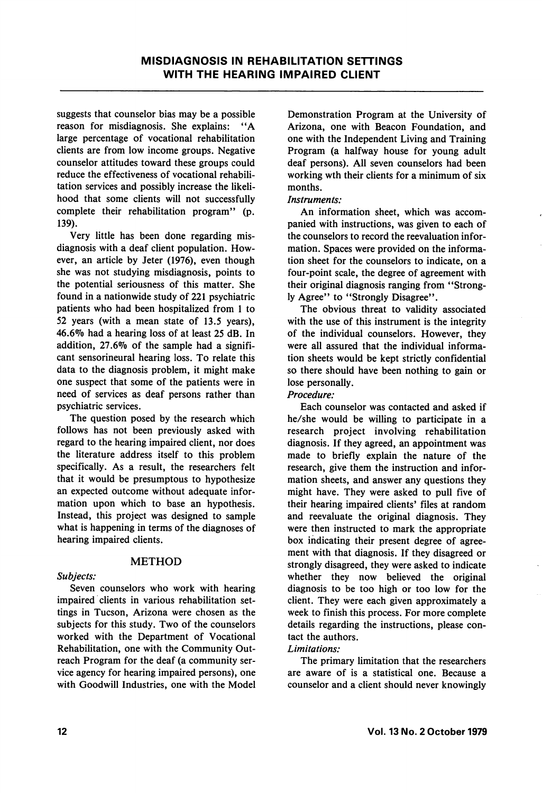suggests that counselor bias may be a possible reason for misdiagnosis. She explains: "A large percentage of vocational rehabilitation clients are from low income groups. Negative counselor attitudes toward these groups could reduce the effectiveness of vocational rehabili tation services and possibly increase the likeli hood that some clients will not successfully complete their rehabilitation program" (p. 139).

Very little has been done regarding misdiagnosis with a deaf client population. How ever, an article by Jeter (1976), even though she was not studying misdiagnosis, points to the potential seriousness of this matter. She found in a nationwide study of 221 psychiatric patients who had been hospitalized from 1 to 52 years (with a mean state of 13.5 years), 46.6% had a hearing loss of at least 25 dB. In addition, 27.6% of the sample had a signifi cant sensorineural hearing loss. To relate this data to the diagnosis problem, it might make one suspect that some of the patients were in need of services as deaf persons rather than psychiatric services.

The question posed by the research which follows has not been previously asked with regard to the hearing impaired client, nor does the literature address itself to this problem specifically. As a result, the researchers felt that it would be presumptous to hypothesize an expected outcome without adequate infor mation upon which to base an hypothesis. Instead, this project was designed to sample what is happening in terms of the diagnoses of hearing impaired clients.

# METHOD

Subjects:

Seven counselors who work with hearing impaired clients in various rehabilitation set tings in Tucson, Arizona were chosen as the subjects for this study. Two of the counselors worked with the Department of Vocational Rehabilitation, one with the Community Out reach Program for the deaf (a community ser vice agency for hearing impaired persons), one with Goodwill Industries, one with the Model Demonstration Program at the University of Arizona, one with Beacon Foundation, and one with the Independent Living and Training Program (a halfway house for young adult deaf persons). All seven counselors had been working wth their clients for a minimum of six months.

### Instruments:

An information sheet, which was accom panied with instructions, was given to each of the counselors to record the reevaluation infor mation. Spaces were provided on the informa tion sheet for the counselors to indicate, on a four-point scale, the degree of agreement with their original diagnosis ranging from \*'Strong ly Agree" to "Strongly Disagree".

The obvious threat to validity associated with the use of this instrument is the integrity of the individual counselors. However, they were all assured that the individual informa tion sheets would be kept strictly confidential so there should have been nothing to gain or lose personally.

Procedure:

Each counselor was contacted and asked if he/she would be willing to participate in a research project involving rehabilitation diagnosis. If they agreed, an appointment was made to briefly explain the nature of the research, give them the instruction and infor mation sheets, and answer any questions they might have. They were asked to pull five of their hearing impaired clients' files at random and reevaluate the original diagnosis. They were then instructed to mark the appropriate box indicating their present degree of agree ment with that diagnosis. If they disagreed or strongly disagreed, they were asked to indicate whether they now believed the original diagnosis to be too high or too low for the client. They were each given approximately a week to finish this process. For more complete details regarding the instructions, please con tact the authors.

### Limitations:

The primary limitation that the researchers are aware of is a statistical one. Because a counselor and a client should never knowingly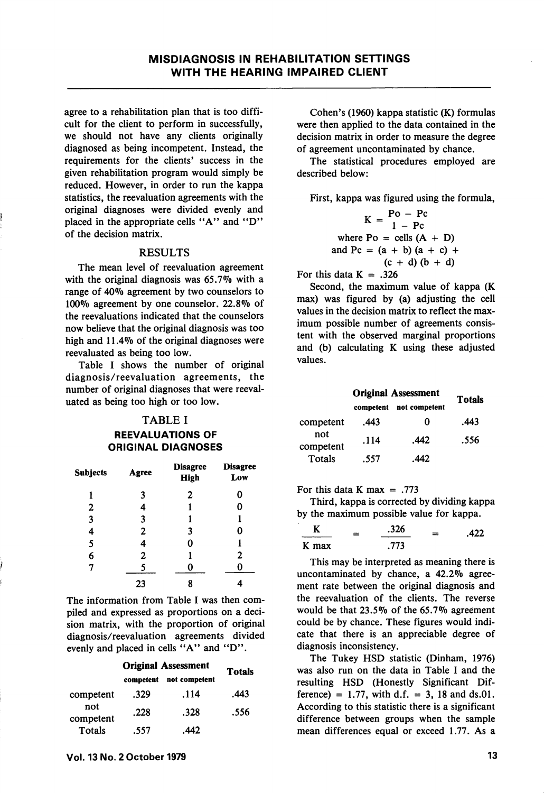agree to a rehabilitation plan that is too diffi cult for the client to perform in successfully, we should not have any clients originally diagnosed as being incompetent. Instead, the requirements for the clients' success in the given rehabilitation program would simply be reduced. However, in order to run the kappa statistics, the reevaluation agreements with the original diagnoses were divided evenly and placed in the appropriate cells "A" and "D" of the decision matrix.

### RESULTS

The mean level of reevaluation agreement with the original diagnosis was  $65.7\%$  with a range of 40% agreement by two counselors to 100% agreement by one counselor. 22.8% of the reevaluations indicated that the counselors now believe that the original diagnosis was too high and 11.4% of the original diagnoses were reevaluated as being too low.

Table I shows the number of original diagnosis/reevaluation agreements, the number of original diagnoses that were reeval uated as being too high or too low.

#### TABLE I

REEVALUATIONS OF ORIGINAL DIAGNOSES

| <b>Subjects</b> | Agree | <b>Disagree</b><br><b>High</b> | <b>Disagree</b><br>Low |
|-----------------|-------|--------------------------------|------------------------|
|                 | 3     | 2                              | 0                      |
| 2               | 4     | 1                              | 0                      |
| 3               | 3     |                                |                        |
| 4               | 2     | 3                              | 0                      |
| 5               | 4     | 0                              |                        |
| 6               | 2     |                                | $\mathbf{2}$           |
| 7               | 5     | O                              |                        |
|                 | 23    |                                |                        |

The information from Table I was then com piled and expressed as proportions on a deci sion matrix, with the proportion of original diagnosis/reevaluation agreements divided evenly and placed in cells "A" and "D".

|                            | <b>Original Assessment</b> |               | Totals |
|----------------------------|----------------------------|---------------|--------|
|                            | competent                  | not competent |        |
| competent                  | .329                       | .114          | .443   |
| not<br>competent<br>Totals | .228                       | .328          | .556   |
|                            | .557                       | .442          |        |

Cohen's (1960) kappa statistic (K) formulas were then applied to the data contained in the decision matrix in order to measure the degree of agreement uncontaminated by chance.

The statistical procedures employed are described below:

First, kappa was figured using the formula,

 $K = \frac{P_0 - P_c}{1 - P_c}$  $1 - \text{Pc}$ where  $Po = cells (A + D)$ and Pc =  $(a + b) (a + c) +$  $(c + d) (b + d)$ 

For this data  $K = .326$ 

Second, the maximum value of kappa (K max) was figured by (a) adjusting the cell values in the decision matrix to reflect the max imum possible number of agreements consis tent with the observed marginal proportions and (b) calculating K using these adjusted values.

|                                         | <b>Original Assessment</b> | <b>Totals</b> |      |  |
|-----------------------------------------|----------------------------|---------------|------|--|
|                                         | competent                  | not competent |      |  |
| competent<br>not<br>competent<br>Totals | .443                       | 0             | .443 |  |
|                                         | .114                       | .442          | .556 |  |
|                                         | .557                       | .442          |      |  |

For this data K max  $= .773$ 

Third, kappa is corrected by dividing kappa by the maximum possible value for kappa.

|       | = | .326 | $=$ | .422 |
|-------|---|------|-----|------|
| K max |   | .773 |     |      |

This may be interpreted as meaning there is uncontaminated by chance, a 42.2% agree ment rate between the original diagnosis and the reevaluation of the clients. The reverse would be that 23.5% of the 65.7% agreement could be by chance. These figures would indi cate that there is an appreciable degree of diagnosis inconsistency.

The Tukey HSD statistic (Dinham, 1976) was also run on the data in Table I and the resulting HSD (Honestly Significant Dif ference) = 1.77, with d.f. = 3, 18 and ds.01. According to this statistic there is a significant difference between groups when the sample mean differences equal or exceed 1.77. As a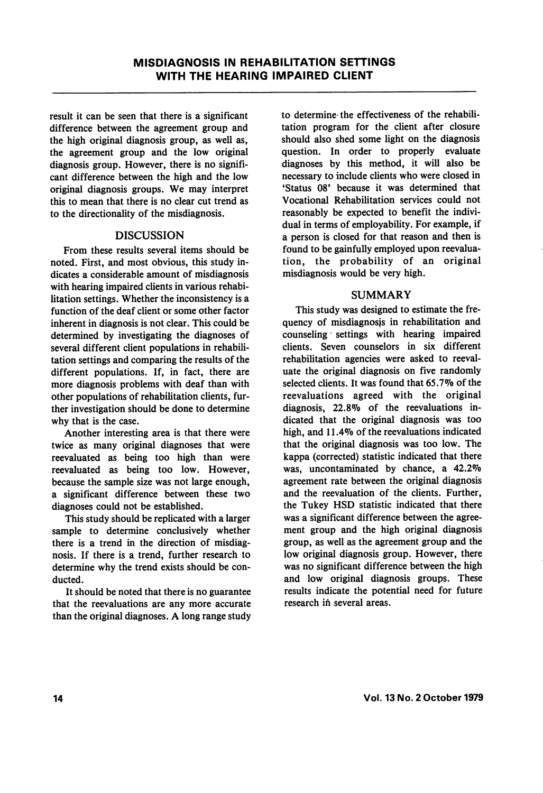result it can be seen that there is a significant difference between the agreement group and the high original diagnosis group, as well as, the agreement group and the low original diagnosis group. However, there is no signifi cant difference between the high and the low original diagnosis groups. We may interpret this to mean that there is no clear cut trend as to the directionality of the misdiagnosis.

# DISCUSSION

From these results several items should be noted. First, and most obvious, this study in dicates a considerable amount of misdiagnosis with hearing impaired clients in various rehabi litation settings. Whether the inconsistency is a function of the deaf client or some other factor inherent in diagnosis is not clear. This could be determined by investigating the diagnoses of several different client populations in rehabili tation settings and comparing the results of the different populations. If, in fact, there are more diagnosis problems with deaf than with other populations of rehabilitation clients, fur ther investigation should be done to determine why that is the case.

Another interesting area is that there were twice as many original diagnoses that were reevaluated as being too high than were reevaluated as being too low. However, because the sample size was not large enough, a significant difference between these two diagnoses could not be established.

This study should be replicated with a larger sample to determine conclusively whether there is a trend in the direction of misdiag nosis. If there is a trend, further research to determine why the trend exists should be con ducted.

It should be noted that there is no guarantee that the reevaluations are any more accurate than the original diagnoses. A long range study to determine the effectiveness of the rehabili tation program for the client after closure should also shed some light on the diagnosis question. In order to properly evaluate diagnoses by this method, it will also be necessary to include clients who were closed in 'Status 08' because it was determined that Vocational Rehabilitation services could not reasonably be expected to benefit the indivi dual in terms of employability. For example, if a person is closed for that reason and then is found to be gainfully employed upon reevaluation, the probability of an original misdiagnosis would be very high.

# SUMMARY

This study was designed to estimate the fre quency of misdiagnosjs in rehabilitation and counseling settings with hearing impaired clients. Seven counselors in six different rehabilitation agencies were asked to reevaluate the original diagnosis on five randomly selected clients. It was found that 65.7% of the reevaluations agreed with the original diagnosis, 22.8% of the reevaluations in dicated that the original diagnosis was too high, and 11.4% of the reevaluations indicated that the original diagnosis was too low. The kappa (corrected) statistic indicated that there was, uncontaminated by chance, a 42.2% agreement rate between the original diagnosis and the reevaluation of the clients. Further, the Tukey HSD statistic indicated that there was a significant difference between the agree ment group and the high original diagnosis group, as well as the agreement group and the low original diagnosis group. However, there was no significant difference between the high and low original diagnosis groups. These results indicate the potential need for future research in several areas.